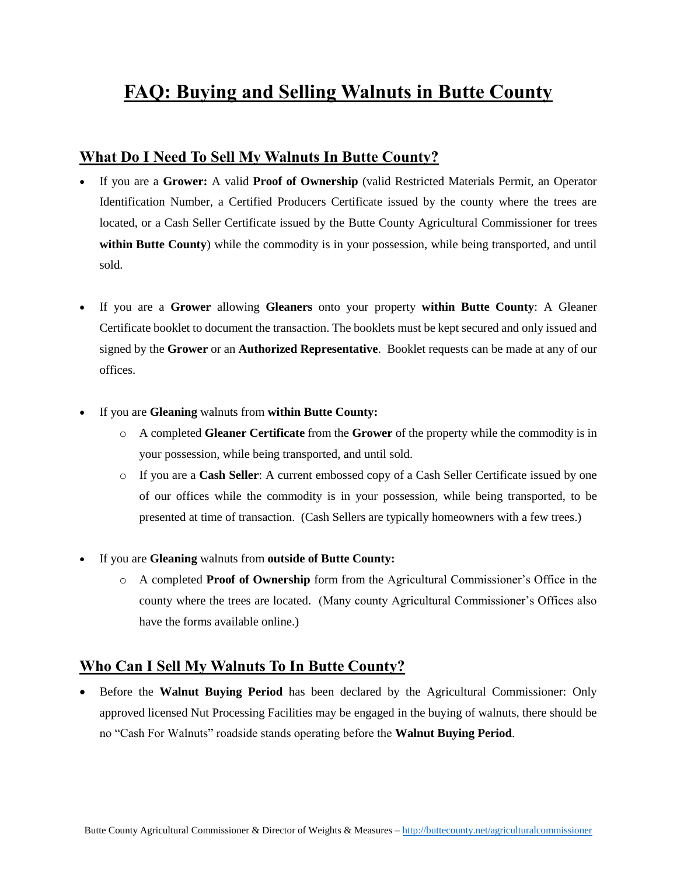# **FAQ: Buying and Selling Walnuts in Butte County**

## **What Do I Need To Sell My Walnuts In Butte County?**

- If you are a **Grower:** A valid **Proof of Ownership** (valid Restricted Materials Permit, an Operator Identification Number, a Certified Producers Certificate issued by the county where the trees are located, or a Cash Seller Certificate issued by the Butte County Agricultural Commissioner for trees **within Butte County**) while the commodity is in your possession, while being transported, and until sold.
- If you are a **Grower** allowing **Gleaners** onto your property **within Butte County**: A Gleaner Certificate booklet to document the transaction. The booklets must be kept secured and only issued and signed by the **Grower** or an **Authorized Representative**. Booklet requests can be made at any of our offices.
- If you are **Gleaning** walnuts from **within Butte County:**
	- o A completed **Gleaner Certificate** from the **Grower** of the property while the commodity is in your possession, while being transported, and until sold.
	- o If you are a **Cash Seller**: A current embossed copy of a Cash Seller Certificate issued by one of our offices while the commodity is in your possession, while being transported, to be presented at time of transaction. (Cash Sellers are typically homeowners with a few trees.)
- If you are **Gleaning** walnuts from **outside of Butte County:**
	- o A completed **Proof of Ownership** form from the Agricultural Commissioner's Office in the county where the trees are located. (Many county Agricultural Commissioner's Offices also have the forms available online.)

#### **Who Can I Sell My Walnuts To In Butte County?**

 Before the **Walnut Buying Period** has been declared by the Agricultural Commissioner: Only approved licensed Nut Processing Facilities may be engaged in the buying of walnuts, there should be no "Cash For Walnuts" roadside stands operating before the **Walnut Buying Period**.